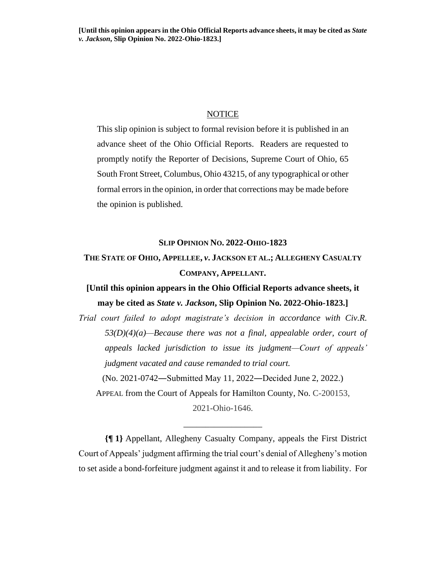## **NOTICE**

This slip opinion is subject to formal revision before it is published in an advance sheet of the Ohio Official Reports. Readers are requested to promptly notify the Reporter of Decisions, Supreme Court of Ohio, 65 South Front Street, Columbus, Ohio 43215, of any typographical or other formal errors in the opinion, in order that corrections may be made before the opinion is published.

## **SLIP OPINION NO. 2022-OHIO-1823**

**THE STATE OF OHIO, APPELLEE,** *v***. JACKSON ET AL.; ALLEGHENY CASUALTY COMPANY, APPELLANT.**

## **[Until this opinion appears in the Ohio Official Reports advance sheets, it may be cited as** *State v. Jackson***, Slip Opinion No. 2022-Ohio-1823.]**

*Trial court failed to adopt magistrate's decision in accordance with Civ.R. 53(D)(4)(a)—Because there was not a final, appealable order, court of appeals lacked jurisdiction to issue its judgment—Court of appeals' judgment vacated and cause remanded to trial court.* (No. 2021-0742―Submitted May 11, 2022―Decided June 2, 2022.) APPEAL from the Court of Appeals for Hamilton County, No. C-200153, 2021-Ohio-1646.

**{¶ 1}** Appellant, Allegheny Casualty Company, appeals the First District Court of Appeals' judgment affirming the trial court's denial of Allegheny's motion to set aside a bond-forfeiture judgment against it and to release it from liability. For

\_\_\_\_\_\_\_\_\_\_\_\_\_\_\_\_\_\_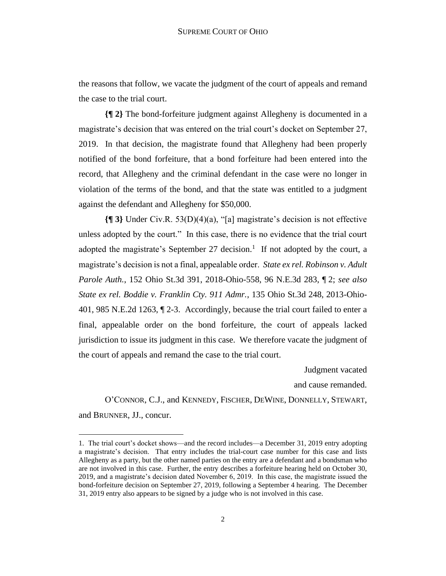the reasons that follow, we vacate the judgment of the court of appeals and remand the case to the trial court.

**{¶ 2}** The bond-forfeiture judgment against Allegheny is documented in a magistrate's decision that was entered on the trial court's docket on September 27, 2019. In that decision, the magistrate found that Allegheny had been properly notified of the bond forfeiture, that a bond forfeiture had been entered into the record, that Allegheny and the criminal defendant in the case were no longer in violation of the terms of the bond, and that the state was entitled to a judgment against the defendant and Allegheny for \$50,000.

**{¶ 3}** Under Civ.R. 53(D)(4)(a), "[a] magistrate's decision is not effective unless adopted by the court." In this case, there is no evidence that the trial court adopted the magistrate's September 27 decision.<sup>1</sup> If not adopted by the court, a magistrate's decision is not a final, appealable order. *State ex rel. Robinson v. Adult Parole Auth.*, 152 Ohio St.3d 391, 2018-Ohio-558, 96 N.E.3d 283, ¶ 2; *see also State ex rel. Boddie v. Franklin Cty. 911 Admr.*, 135 Ohio St.3d 248, 2013-Ohio-401, 985 N.E.2d 1263, ¶ 2-3. Accordingly, because the trial court failed to enter a final, appealable order on the bond forfeiture, the court of appeals lacked jurisdiction to issue its judgment in this case. We therefore vacate the judgment of the court of appeals and remand the case to the trial court.

Judgment vacated

and cause remanded.

O'CONNOR, C.J., and KENNEDY, FISCHER, DEWINE, DONNELLY, STEWART, and BRUNNER, JJ., concur.

<sup>1.</sup> The trial court's docket shows—and the record includes—a December 31, 2019 entry adopting a magistrate's decision. That entry includes the trial-court case number for this case and lists Allegheny as a party, but the other named parties on the entry are a defendant and a bondsman who are not involved in this case. Further, the entry describes a forfeiture hearing held on October 30, 2019, and a magistrate's decision dated November 6, 2019. In this case, the magistrate issued the bond-forfeiture decision on September 27, 2019, following a September 4 hearing. The December 31, 2019 entry also appears to be signed by a judge who is not involved in this case.